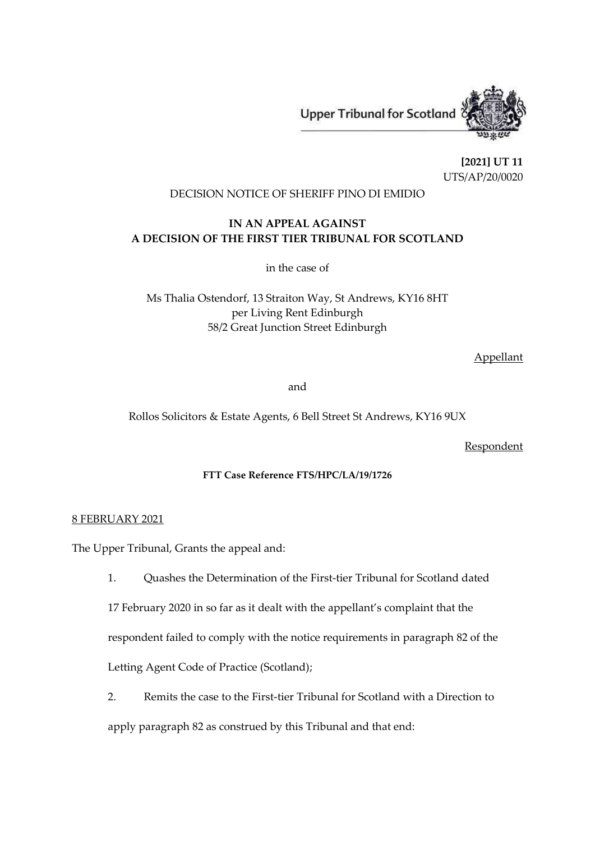**Upper Tribunal for Scotland** 



**[2021] UT 11** UTS/AP/20/0020

# DECISION NOTICE OF SHERIFF PINO DI EMIDIO

# **IN AN APPEAL AGAINST A DECISION OF THE FIRST TIER TRIBUNAL FOR SCOTLAND**

in the case of

Ms Thalia Ostendorf, 13 Straiton Way, St Andrews, KY16 8HT per Living Rent Edinburgh 58/2 Great Junction Street Edinburgh

Appellant

and

Rollos Solicitors & Estate Agents, 6 Bell Street St Andrews, KY16 9UX

**Respondent** 

## **FTT Case Reference FTS/HPC/LA/19/1726**

### 8 FEBRUARY 2021

The Upper Tribunal, Grants the appeal and:

1. Quashes the Determination of the First-tier Tribunal for Scotland dated

17 February 2020 in so far as it dealt with the appellant's complaint that the

respondent failed to comply with the notice requirements in paragraph 82 of the

Letting Agent Code of Practice (Scotland);

2. Remits the case to the First-tier Tribunal for Scotland with a Direction to

apply paragraph 82 as construed by this Tribunal and that end: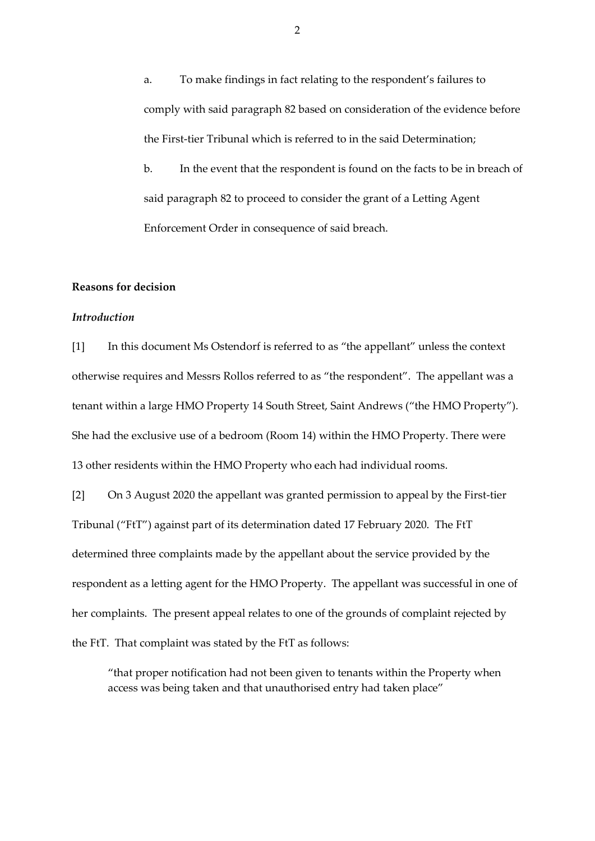a. To make findings in fact relating to the respondent's failures to comply with said paragraph 82 based on consideration of the evidence before the First-tier Tribunal which is referred to in the said Determination;

b. In the event that the respondent is found on the facts to be in breach of said paragraph 82 to proceed to consider the grant of a Letting Agent Enforcement Order in consequence of said breach.

### **Reasons for decision**

### *Introduction*

[1] In this document Ms Ostendorf is referred to as "the appellant" unless the context otherwise requires and Messrs Rollos referred to as "the respondent". The appellant was a tenant within a large HMO Property 14 South Street, Saint Andrews ("the HMO Property"). She had the exclusive use of a bedroom (Room 14) within the HMO Property. There were 13 other residents within the HMO Property who each had individual rooms.

[2] On 3 August 2020 the appellant was granted permission to appeal by the First-tier Tribunal ("FtT") against part of its determination dated 17 February 2020. The FtT determined three complaints made by the appellant about the service provided by the respondent as a letting agent for the HMO Property. The appellant was successful in one of her complaints. The present appeal relates to one of the grounds of complaint rejected by the FtT. That complaint was stated by the FtT as follows:

"that proper notification had not been given to tenants within the Property when access was being taken and that unauthorised entry had taken place"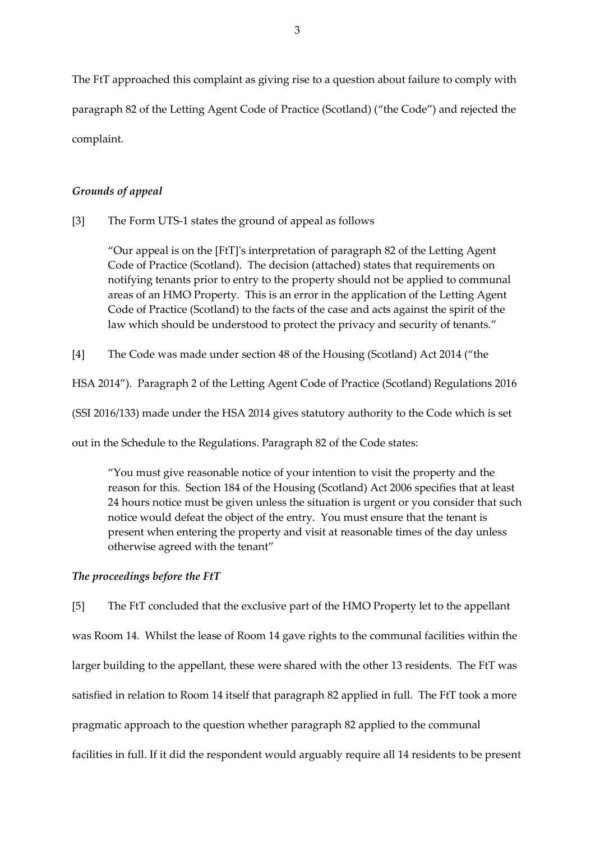The FtT approached this complaint as giving rise to a question about failure to comply with paragraph 82 of the Letting Agent Code of Practice (Scotland) ("the Code") and rejected the complaint.

## *Grounds of appeal*

[3] The Form UTS-1 states the ground of appeal as follows

"Our appeal is on the [FtT]'s interpretation of paragraph 82 of the Letting Agent Code of Practice (Scotland). The decision (attached) states that requirements on notifying tenants prior to entry to the property should not be applied to communal areas of an HMO Property. This is an error in the application of the Letting Agent Code of Practice (Scotland) to the facts of the case and acts against the spirit of the law which should be understood to protect the privacy and security of tenants."

[4] The Code was made under section 48 of the Housing (Scotland) Act 2014 ("the

HSA 2014"). Paragraph 2 of the Letting Agent Code of Practice (Scotland) Regulations 2016

(SSI 2016/133) made under the HSA 2014 gives statutory authority to the Code which is set

out in the Schedule to the Regulations. Paragraph 82 of the Code states:

"You must give reasonable notice of your intention to visit the property and the reason for this. Section 184 of the Housing (Scotland) Act 2006 specifies that at least 24 hours notice must be given unless the situation is urgent or you consider that such notice would defeat the object of the entry. You must ensure that the tenant is present when entering the property and visit at reasonable times of the day unless otherwise agreed with the tenant"

### *The proceedings before the FtT*

[5] The FtT concluded that the exclusive part of the HMO Property let to the appellant was Room 14. Whilst the lease of Room 14 gave rights to the communal facilities within the larger building to the appellant, these were shared with the other 13 residents. The FtT was satisfied in relation to Room 14 itself that paragraph 82 applied in full. The FtT took a more pragmatic approach to the question whether paragraph 82 applied to the communal facilities in full. If it did the respondent would arguably require all 14 residents to be present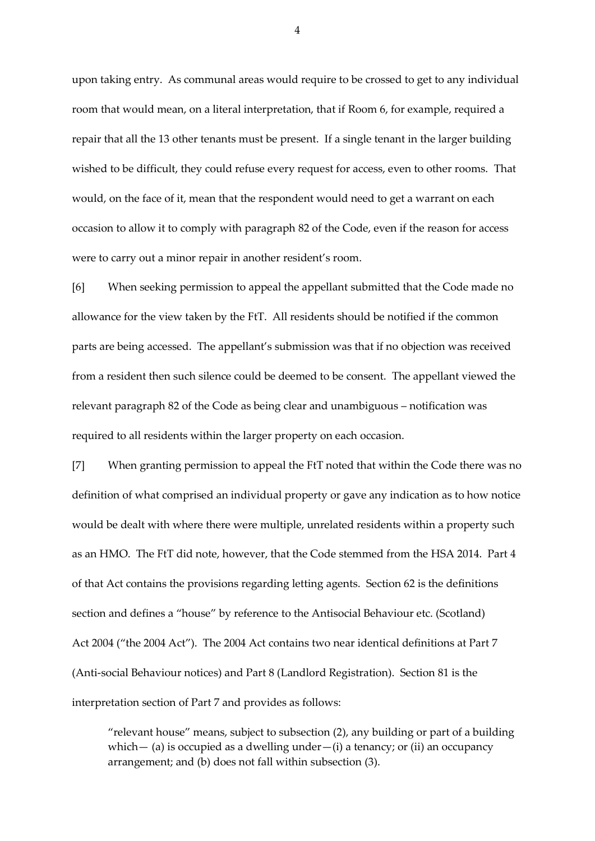upon taking entry. As communal areas would require to be crossed to get to any individual room that would mean, on a literal interpretation, that if Room 6, for example, required a repair that all the 13 other tenants must be present. If a single tenant in the larger building wished to be difficult, they could refuse every request for access, even to other rooms. That would, on the face of it, mean that the respondent would need to get a warrant on each occasion to allow it to comply with paragraph 82 of the Code, even if the reason for access were to carry out a minor repair in another resident's room.

[6] When seeking permission to appeal the appellant submitted that the Code made no allowance for the view taken by the FtT. All residents should be notified if the common parts are being accessed. The appellant's submission was that if no objection was received from a resident then such silence could be deemed to be consent. The appellant viewed the relevant paragraph 82 of the Code as being clear and unambiguous – notification was required to all residents within the larger property on each occasion.

[7] When granting permission to appeal the FtT noted that within the Code there was no definition of what comprised an individual property or gave any indication as to how notice would be dealt with where there were multiple, unrelated residents within a property such as an HMO. The FtT did note, however, that the Code stemmed from the HSA 2014. Part 4 of that Act contains the provisions regarding letting agents. Section 62 is the definitions section and defines a "house" by reference to the Antisocial Behaviour etc. (Scotland) Act 2004 ("the 2004 Act"). The 2004 Act contains two near identical definitions at Part 7 (Anti-social Behaviour notices) and Part 8 (Landlord Registration). Section 81 is the interpretation section of Part 7 and provides as follows:

"relevant house" means, subject to subsection (2), any building or part of a building which — (a) is occupied as a dwelling under — (i) a tenancy; or (ii) an occupancy arrangement; and (b) does not fall within subsection (3).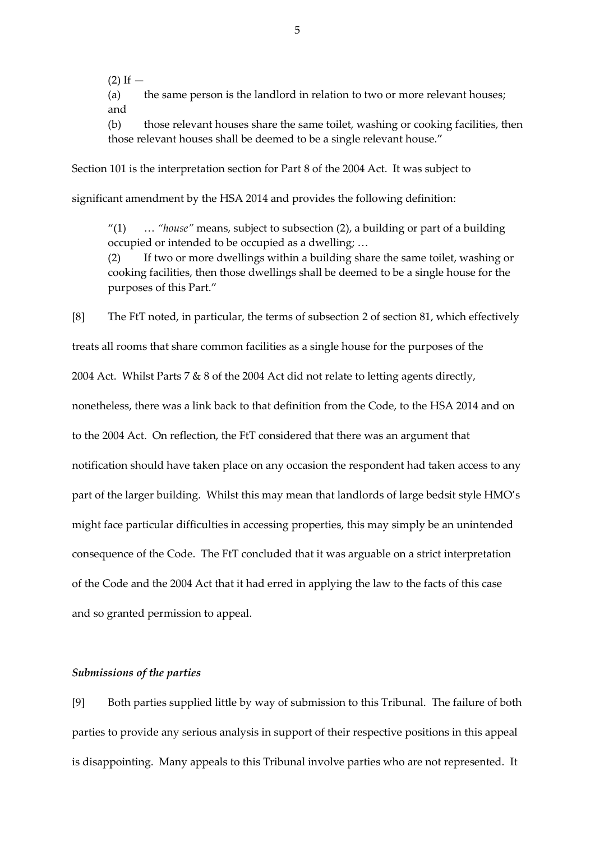$(2)$  If  $-$ 

(a) the same person is the landlord in relation to two or more relevant houses; and

(b) those relevant houses share the same toilet, washing or cooking facilities, then those relevant houses shall be deemed to be a single relevant house."

Section 101 is the interpretation section for Part 8 of the 2004 Act. It was subject to

significant amendment by the HSA 2014 and provides the following definition:

"(1) … *"house"* means, subject to subsection (2), a building or part of a building occupied or intended to be occupied as a dwelling; …

(2) If two or more dwellings within a building share the same toilet, washing or cooking facilities, then those dwellings shall be deemed to be a single house for the purposes of this Part."

[8] The FtT noted, in particular, the terms of subsection 2 of section 81, which effectively

treats all rooms that share common facilities as a single house for the purposes of the

2004 Act. Whilst Parts 7 & 8 of the 2004 Act did not relate to letting agents directly,

nonetheless, there was a link back to that definition from the Code, to the HSA 2014 and on

to the 2004 Act. On reflection, the FtT considered that there was an argument that

notification should have taken place on any occasion the respondent had taken access to any

part of the larger building. Whilst this may mean that landlords of large bedsit style HMO's

might face particular difficulties in accessing properties, this may simply be an unintended

consequence of the Code. The FtT concluded that it was arguable on a strict interpretation

of the Code and the 2004 Act that it had erred in applying the law to the facts of this case

and so granted permission to appeal.

### *Submissions of the parties*

[9] Both parties supplied little by way of submission to this Tribunal. The failure of both parties to provide any serious analysis in support of their respective positions in this appeal is disappointing. Many appeals to this Tribunal involve parties who are not represented. It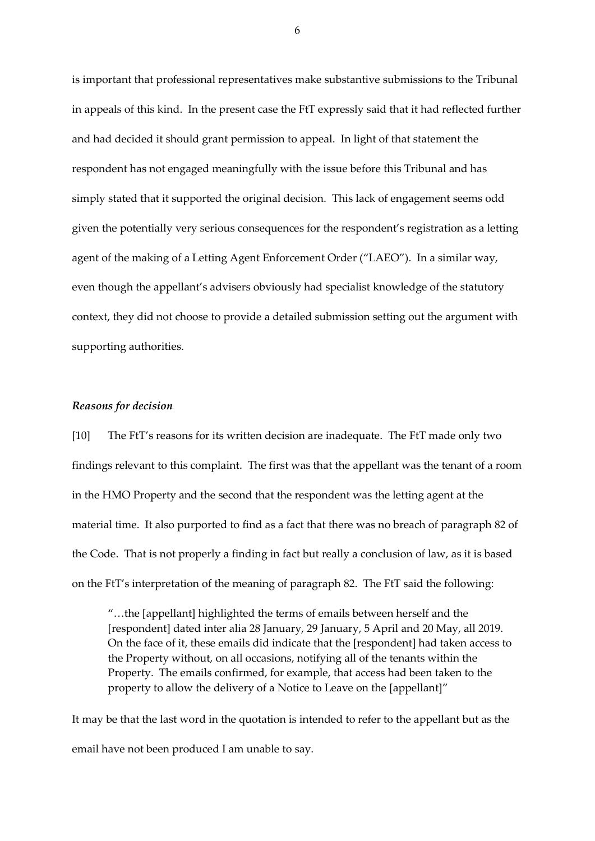is important that professional representatives make substantive submissions to the Tribunal in appeals of this kind. In the present case the FtT expressly said that it had reflected further and had decided it should grant permission to appeal. In light of that statement the respondent has not engaged meaningfully with the issue before this Tribunal and has simply stated that it supported the original decision. This lack of engagement seems odd given the potentially very serious consequences for the respondent's registration as a letting agent of the making of a Letting Agent Enforcement Order ("LAEO"). In a similar way, even though the appellant's advisers obviously had specialist knowledge of the statutory context, they did not choose to provide a detailed submission setting out the argument with supporting authorities.

#### *Reasons for decision*

[10] The FtT's reasons for its written decision are inadequate. The FtT made only two findings relevant to this complaint. The first was that the appellant was the tenant of a room in the HMO Property and the second that the respondent was the letting agent at the material time. It also purported to find as a fact that there was no breach of paragraph 82 of the Code. That is not properly a finding in fact but really a conclusion of law, as it is based on the FtT's interpretation of the meaning of paragraph 82. The FtT said the following:

"…the [appellant] highlighted the terms of emails between herself and the [respondent] dated inter alia 28 January, 29 January, 5 April and 20 May, all 2019. On the face of it, these emails did indicate that the [respondent] had taken access to the Property without, on all occasions, notifying all of the tenants within the Property. The emails confirmed, for example, that access had been taken to the property to allow the delivery of a Notice to Leave on the [appellant]"

It may be that the last word in the quotation is intended to refer to the appellant but as the email have not been produced I am unable to say.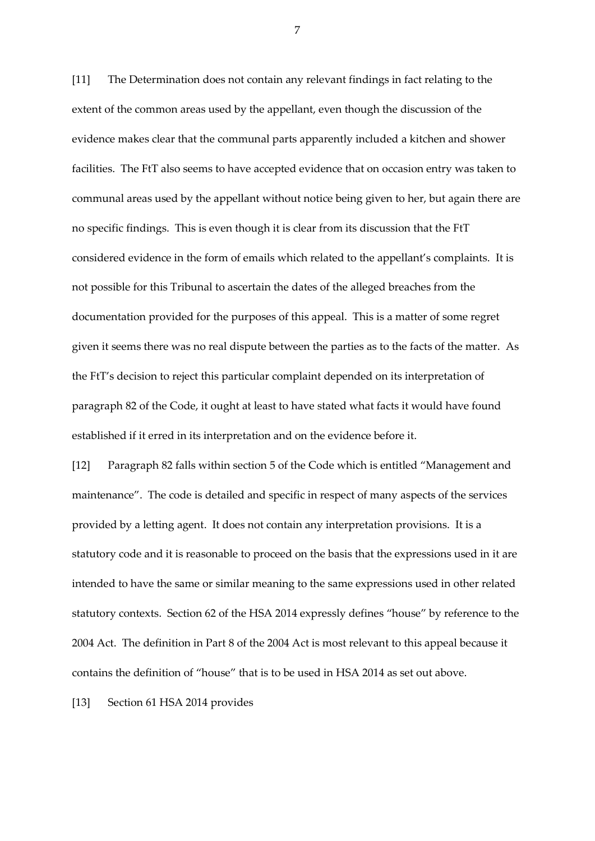[11] The Determination does not contain any relevant findings in fact relating to the extent of the common areas used by the appellant, even though the discussion of the evidence makes clear that the communal parts apparently included a kitchen and shower facilities. The FtT also seems to have accepted evidence that on occasion entry was taken to communal areas used by the appellant without notice being given to her, but again there are no specific findings. This is even though it is clear from its discussion that the FtT considered evidence in the form of emails which related to the appellant's complaints. It is not possible for this Tribunal to ascertain the dates of the alleged breaches from the documentation provided for the purposes of this appeal. This is a matter of some regret given it seems there was no real dispute between the parties as to the facts of the matter. As the FtT's decision to reject this particular complaint depended on its interpretation of paragraph 82 of the Code, it ought at least to have stated what facts it would have found established if it erred in its interpretation and on the evidence before it.

[12] Paragraph 82 falls within section 5 of the Code which is entitled "Management and maintenance". The code is detailed and specific in respect of many aspects of the services provided by a letting agent. It does not contain any interpretation provisions. It is a statutory code and it is reasonable to proceed on the basis that the expressions used in it are intended to have the same or similar meaning to the same expressions used in other related statutory contexts. Section 62 of the HSA 2014 expressly defines "house" by reference to the 2004 Act. The definition in Part 8 of the 2004 Act is most relevant to this appeal because it contains the definition of "house" that is to be used in HSA 2014 as set out above.

[13] Section 61 HSA 2014 provides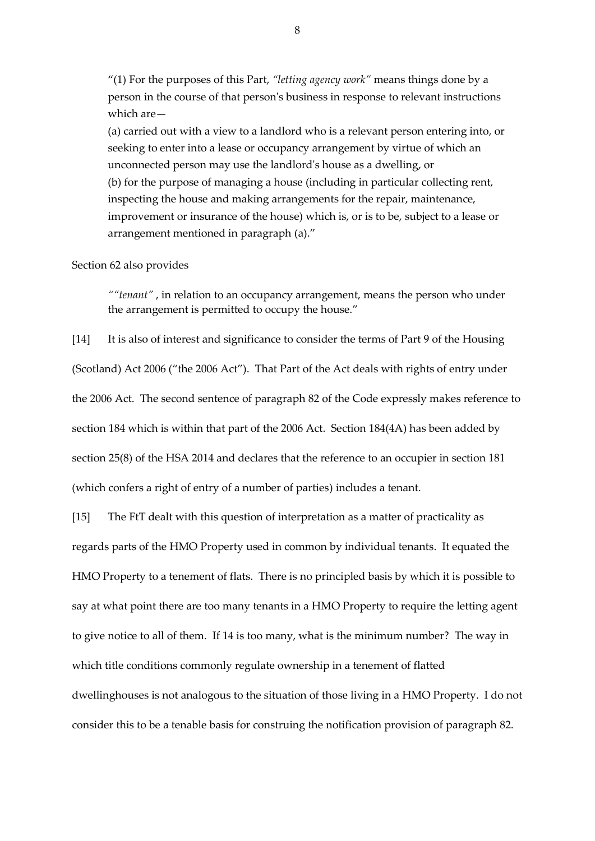"(1) For the purposes of this Part, *"letting agency work"* means things done by a person in the course of that person's business in response to relevant instructions which are—

(a) carried out with a view to a landlord who is a relevant person entering into, or seeking to enter into a lease or occupancy arrangement by virtue of which an unconnected person may use the landlord's house as a dwelling, or (b) for the purpose of managing a house (including in particular collecting rent, inspecting the house and making arrangements for the repair, maintenance, improvement or insurance of the house) which is, or is to be, subject to a lease or arrangement mentioned in paragraph (a)."

#### Section 62 also provides

*""tenant"* , in relation to an occupancy arrangement, means the person who under the arrangement is permitted to occupy the house."

[14] It is also of interest and significance to consider the terms of Part 9 of the Housing (Scotland) Act 2006 ("the 2006 Act"). That Part of the Act deals with rights of entry under the 2006 Act. The second sentence of paragraph 82 of the Code expressly makes reference to section 184 which is within that part of the 2006 Act. Section 184(4A) has been added by section 25(8) of the HSA 2014 and declares that the reference to an occupier in section 181 (which confers a right of entry of a number of parties) includes a tenant.

[15] The FtT dealt with this question of interpretation as a matter of practicality as regards parts of the HMO Property used in common by individual tenants. It equated the HMO Property to a tenement of flats. There is no principled basis by which it is possible to say at what point there are too many tenants in a HMO Property to require the letting agent to give notice to all of them. If 14 is too many, what is the minimum number? The way in which title conditions commonly regulate ownership in a tenement of flatted dwellinghouses is not analogous to the situation of those living in a HMO Property. I do not consider this to be a tenable basis for construing the notification provision of paragraph 82.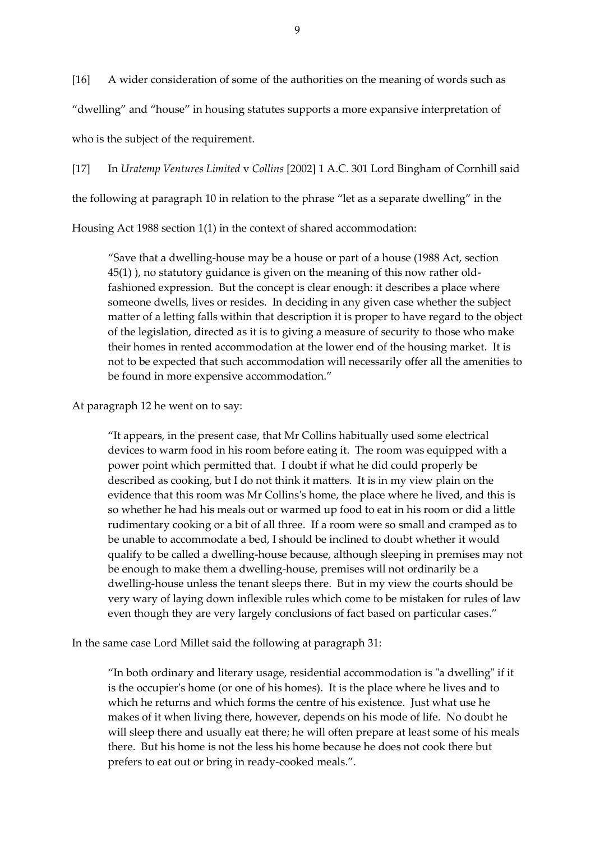[16] A wider consideration of some of the authorities on the meaning of words such as "dwelling" and "house" in housing statutes supports a more expansive interpretation of

who is the subject of the requirement.

[17] In *Uratemp Ventures Limited* v *Collins* [2002] 1 A.C. 301 Lord Bingham of Cornhill said

the following at paragraph 10 in relation to the phrase "let as a separate dwelling" in the

Housing Act 1988 section 1(1) in the context of shared accommodation:

"Save that a dwelling-house may be a house or part of a house (1988 Act, section 45(1) ), no statutory guidance is given on the meaning of this now rather oldfashioned expression. But the concept is clear enough: it describes a place where someone dwells, lives or resides. In deciding in any given case whether the subject matter of a letting falls within that description it is proper to have regard to the object of the legislation, directed as it is to giving a measure of security to those who make their homes in rented accommodation at the lower end of the housing market. It is not to be expected that such accommodation will necessarily offer all the amenities to be found in more expensive accommodation."

At paragraph 12 he went on to say:

"It appears, in the present case, that Mr Collins habitually used some electrical devices to warm food in his room before eating it. The room was equipped with a power point which permitted that. I doubt if what he did could properly be described as cooking, but I do not think it matters. It is in my view plain on the evidence that this room was Mr Collins's home, the place where he lived, and this is so whether he had his meals out or warmed up food to eat in his room or did a little rudimentary cooking or a bit of all three. If a room were so small and cramped as to be unable to accommodate a bed, I should be inclined to doubt whether it would qualify to be called a dwelling-house because, although sleeping in premises may not be enough to make them a dwelling-house, premises will not ordinarily be a dwelling-house unless the tenant sleeps there. But in my view the courts should be very wary of laying down inflexible rules which come to be mistaken for rules of law even though they are very largely conclusions of fact based on particular cases."

In the same case Lord Millet said the following at paragraph 31:

"In both ordinary and literary usage, residential accommodation is "a dwelling" if it is the occupier's home (or one of his homes). It is the place where he lives and to which he returns and which forms the centre of his existence. Just what use he makes of it when living there, however, depends on his mode of life. No doubt he will sleep there and usually eat there; he will often prepare at least some of his meals there. But his home is not the less his home because he does not cook there but prefers to eat out or bring in ready-cooked meals.".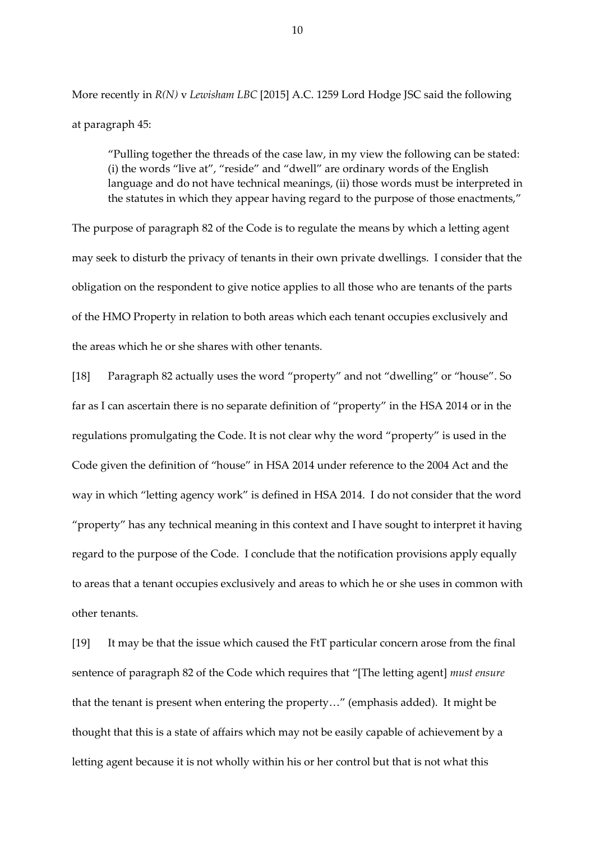More recently in *R(N)* v *Lewisham LBC* [2015] A.C. 1259 Lord Hodge JSC said the following at paragraph 45:

"Pulling together the threads of the case law, in my view the following can be stated: (i) the words "live at", "reside" and "dwell" are ordinary words of the English language and do not have technical meanings, (ii) those words must be interpreted in the statutes in which they appear having regard to the purpose of those enactments,"

The purpose of paragraph 82 of the Code is to regulate the means by which a letting agent may seek to disturb the privacy of tenants in their own private dwellings. I consider that the obligation on the respondent to give notice applies to all those who are tenants of the parts of the HMO Property in relation to both areas which each tenant occupies exclusively and the areas which he or she shares with other tenants.

[18] Paragraph 82 actually uses the word "property" and not "dwelling" or "house". So far as I can ascertain there is no separate definition of "property" in the HSA 2014 or in the regulations promulgating the Code. It is not clear why the word "property" is used in the Code given the definition of "house" in HSA 2014 under reference to the 2004 Act and the way in which "letting agency work" is defined in HSA 2014. I do not consider that the word "property" has any technical meaning in this context and I have sought to interpret it having regard to the purpose of the Code. I conclude that the notification provisions apply equally to areas that a tenant occupies exclusively and areas to which he or she uses in common with other tenants.

[19] It may be that the issue which caused the FtT particular concern arose from the final sentence of paragraph 82 of the Code which requires that "[The letting agent] *must ensure* that the tenant is present when entering the property…" (emphasis added). It might be thought that this is a state of affairs which may not be easily capable of achievement by a letting agent because it is not wholly within his or her control but that is not what this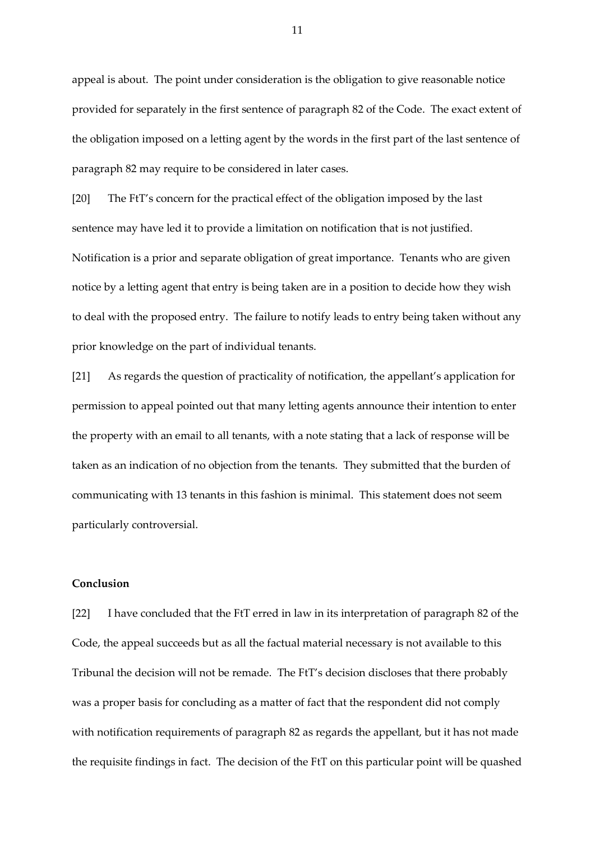appeal is about. The point under consideration is the obligation to give reasonable notice provided for separately in the first sentence of paragraph 82 of the Code. The exact extent of the obligation imposed on a letting agent by the words in the first part of the last sentence of paragraph 82 may require to be considered in later cases.

[20] The FtT's concern for the practical effect of the obligation imposed by the last sentence may have led it to provide a limitation on notification that is not justified. Notification is a prior and separate obligation of great importance. Tenants who are given notice by a letting agent that entry is being taken are in a position to decide how they wish to deal with the proposed entry. The failure to notify leads to entry being taken without any prior knowledge on the part of individual tenants.

[21] As regards the question of practicality of notification, the appellant's application for permission to appeal pointed out that many letting agents announce their intention to enter the property with an email to all tenants, with a note stating that a lack of response will be taken as an indication of no objection from the tenants. They submitted that the burden of communicating with 13 tenants in this fashion is minimal. This statement does not seem particularly controversial.

## **Conclusion**

[22] I have concluded that the FtT erred in law in its interpretation of paragraph 82 of the Code, the appeal succeeds but as all the factual material necessary is not available to this Tribunal the decision will not be remade. The FtT's decision discloses that there probably was a proper basis for concluding as a matter of fact that the respondent did not comply with notification requirements of paragraph 82 as regards the appellant, but it has not made the requisite findings in fact. The decision of the FtT on this particular point will be quashed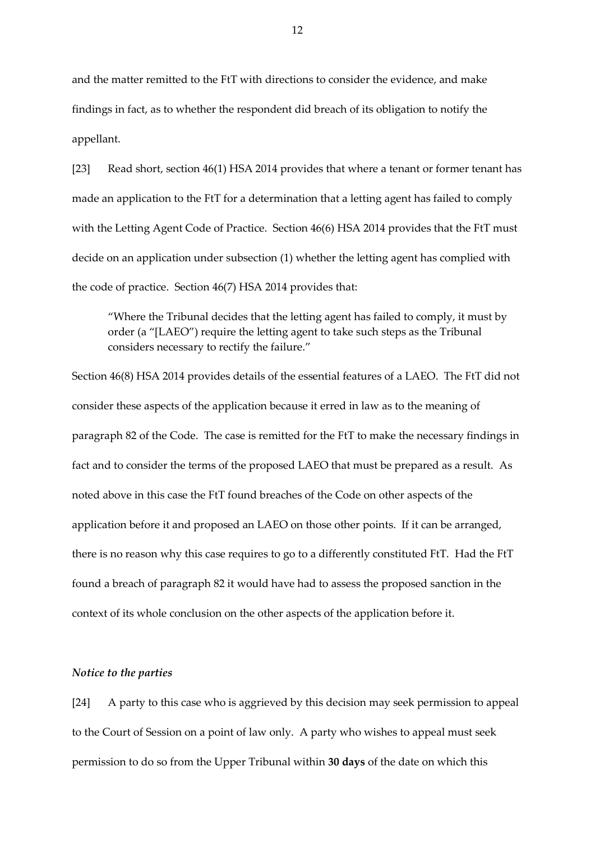and the matter remitted to the FtT with directions to consider the evidence, and make findings in fact, as to whether the respondent did breach of its obligation to notify the appellant.

[23] Read short, section 46(1) HSA 2014 provides that where a tenant or former tenant has made an application to the FtT for a determination that a letting agent has failed to comply with the Letting Agent Code of Practice. Section 46(6) HSA 2014 provides that the FtT must decide on an application under subsection (1) whether the letting agent has complied with the code of practice. Section 46(7) HSA 2014 provides that:

"Where the Tribunal decides that the letting agent has failed to comply, it must by order (a "[LAEO") require the letting agent to take such steps as the Tribunal considers necessary to rectify the failure."

Section 46(8) HSA 2014 provides details of the essential features of a LAEO. The FtT did not consider these aspects of the application because it erred in law as to the meaning of paragraph 82 of the Code. The case is remitted for the FtT to make the necessary findings in fact and to consider the terms of the proposed LAEO that must be prepared as a result. As noted above in this case the FtT found breaches of the Code on other aspects of the application before it and proposed an LAEO on those other points. If it can be arranged, there is no reason why this case requires to go to a differently constituted FtT. Had the FtT found a breach of paragraph 82 it would have had to assess the proposed sanction in the context of its whole conclusion on the other aspects of the application before it.

### *Notice to the parties*

[24] A party to this case who is aggrieved by this decision may seek permission to appeal to the Court of Session on a point of law only. A party who wishes to appeal must seek permission to do so from the Upper Tribunal within **30 days** of the date on which this